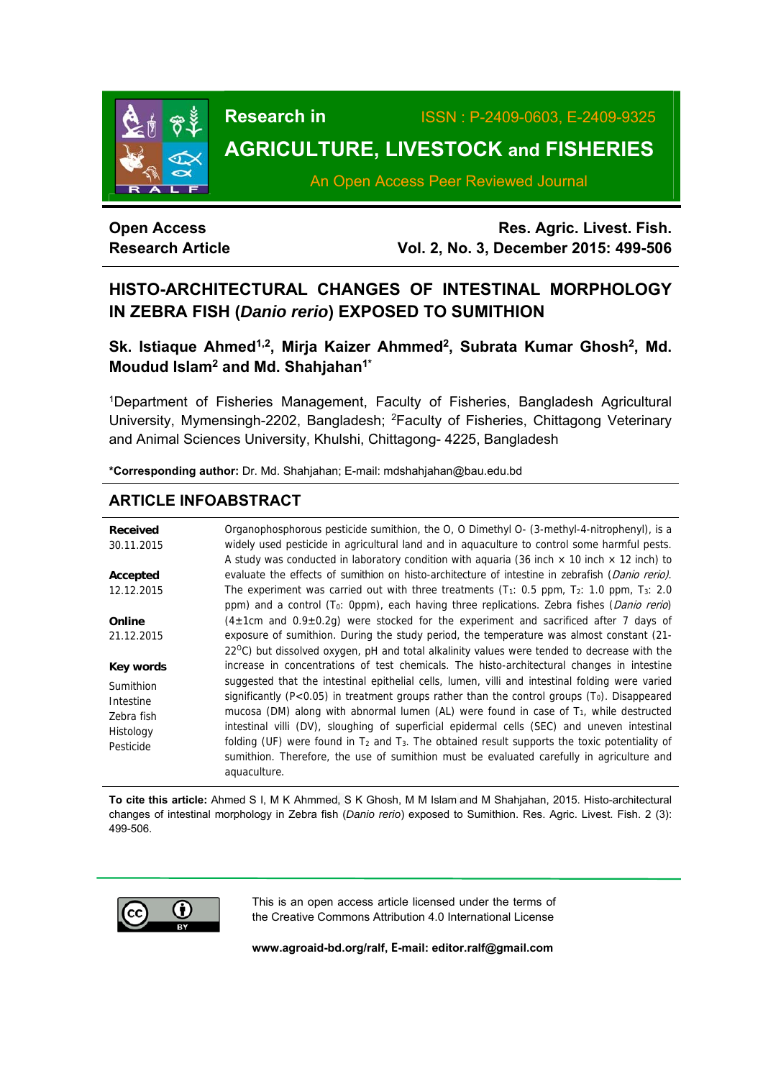

# **Research in** ISSN : P-2409-0603, E-2409-9325

## **AGRICULTURE, LIVESTOCK and FISHERIES**

An Open Access Peer Reviewed Journal

### **Open Access Research Article**

**Res. Agric. Livest. Fish. Vol. 2, No. 3, December 2015: 499-506**

### **HISTO-ARCHITECTURAL CHANGES OF INTESTINAL MORPHOLOGY IN ZEBRA FISH (***Danio rerio***) EXPOSED TO SUMITHION**

Sk. Istiaque Ahmed<sup>1,2</sup>, Mirja Kaizer Ahmmed<sup>2</sup>, Subrata Kumar Ghosh<sup>2</sup>, Md. **Moudud Islam2 and Md. Shahjahan1\*** 

1Department of Fisheries Management, Faculty of Fisheries, Bangladesh Agricultural University, Mymensingh-2202, Bangladesh; 2Faculty of Fisheries, Chittagong Veterinary and Animal Sciences University, Khulshi, Chittagong- 4225, Bangladesh

**\*Corresponding author:** Dr. Md. Shahjahan; E-mail: mdshahjahan@bau.edu.bd

### **ARTICLE INFOABSTRACT**

| <b>Received</b> | Organophosphorous pesticide sumithion, the O, O Dimethyl O- (3-methyl-4-nitrophenyl), is a                      |
|-----------------|-----------------------------------------------------------------------------------------------------------------|
| 30.11.2015      | widely used pesticide in agricultural land and in aquaculture to control some harmful pests.                    |
|                 | A study was conducted in laboratory condition with aguaria (36 inch $\times$ 10 inch $\times$ 12 inch) to       |
| Accepted        | evaluate the effects of sumithion on histo-architecture of intestine in zebrafish (Danio rerio).                |
| 12.12.2015      | The experiment was carried out with three treatments ( $T_1$ : 0.5 ppm, $T_2$ : 1.0 ppm, $T_3$ : 2.0            |
|                 | ppm) and a control (T <sub>0</sub> : 0ppm), each having three replications. Zebra fishes ( <i>Danio rerio</i> ) |
| Online          | $(4\pm1$ cm and 0.9 $\pm$ 0.2g) were stocked for the experiment and sacrificed after 7 days of                  |
| 21.12.2015      | exposure of sumithion. During the study period, the temperature was almost constant (21-                        |
|                 | 22 <sup>o</sup> C) but dissolved oxygen, pH and total alkalinity values were tended to decrease with the        |
| Key words       | increase in concentrations of test chemicals. The histo-architectural changes in intestine                      |
| Sumithion       | suggested that the intestinal epithelial cells, lumen, villi and intestinal folding were varied                 |
| Intestine       | significantly ( $P < 0.05$ ) in treatment groups rather than the control groups ( $T0$ ). Disappeared           |
| Zebra fish      | mucosa (DM) along with abnormal lumen (AL) were found in case of $T_1$ , while destructed                       |
| Histology       | intestinal villi (DV), sloughing of superficial epidermal cells (SEC) and uneven intestinal                     |
|                 | folding (UF) were found in $T_2$ and $T_3$ . The obtained result supports the toxic potentiality of             |
| Pesticide       | sumithion. Therefore, the use of sumithion must be evaluated carefully in agriculture and                       |
|                 | aquaculture.                                                                                                    |

**To cite this article:** Ahmed S I, M K Ahmmed, S K Ghosh, M M Islam and M Shahjahan, 2015. Histo-architectural changes of intestinal morphology in Zebra fish (*Danio rerio*) exposed to Sumithion. Res. Agric. Livest. Fish. 2 (3): 499-506.



This is an open access article licensed under the terms of the Creative Commons Attribution 4.0 International License

**www.agroaid-bd.org/ralf, E-mail: editor.ralf@gmail.com**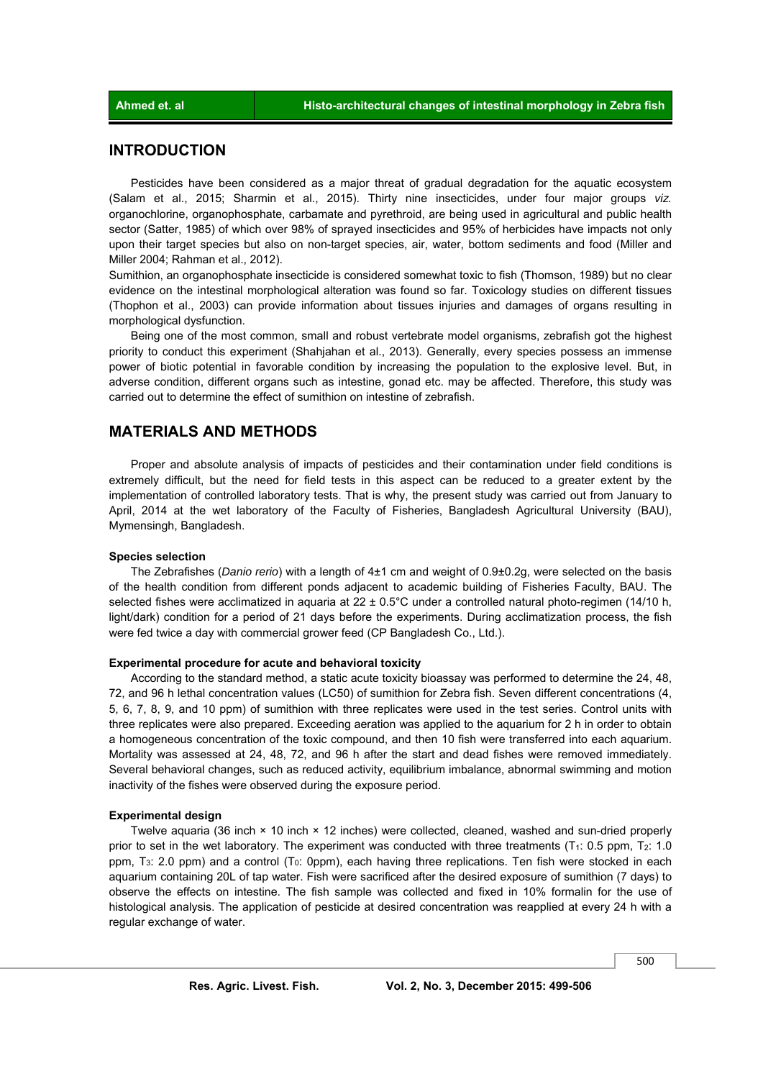#### **INTRODUCTION**

 Pesticides have been considered as a major threat of gradual degradation for the aquatic ecosystem (Salam et al., 2015; Sharmin et al., 2015). Thirty nine insecticides, under four major groups *viz.* organochlorine, organophosphate, carbamate and pyrethroid, are being used in agricultural and public health sector (Satter, 1985) of which over 98% of sprayed insecticides and 95% of herbicides have impacts not only upon their target species but also on non-target species, air, water, bottom sediments and food (Miller and Miller 2004; Rahman et al., 2012).

Sumithion, an organophosphate insecticide is considered somewhat toxic to fish (Thomson, 1989) but no clear evidence on the intestinal morphological alteration was found so far. Toxicology studies on different tissues (Thophon et al., 2003) can provide information about tissues injuries and damages of organs resulting in morphological dysfunction.

 Being one of the most common, small and robust vertebrate model organisms, zebrafish got the highest priority to conduct this experiment (Shahjahan et al., 2013). Generally, every species possess an immense power of biotic potential in favorable condition by increasing the population to the explosive level. But, in adverse condition, different organs such as intestine, gonad etc. may be affected. Therefore, this study was carried out to determine the effect of sumithion on intestine of zebrafish.

#### **MATERIALS AND METHODS**

 Proper and absolute analysis of impacts of pesticides and their contamination under field conditions is extremely difficult, but the need for field tests in this aspect can be reduced to a greater extent by the implementation of controlled laboratory tests. That is why, the present study was carried out from January to April, 2014 at the wet laboratory of the Faculty of Fisheries, Bangladesh Agricultural University (BAU), Mymensingh, Bangladesh.

#### **Species selection**

 The Zebrafishes (*Danio rerio*) with a length of 4±1 cm and weight of 0.9±0.2g, were selected on the basis of the health condition from different ponds adjacent to academic building of Fisheries Faculty, BAU. The selected fishes were acclimatized in aquaria at 22 ± 0.5°C under a controlled natural photo-regimen (14/10 h, light/dark) condition for a period of 21 days before the experiments. During acclimatization process, the fish were fed twice a day with commercial grower feed (CP Bangladesh Co., Ltd.).

#### **Experimental procedure for acute and behavioral toxicity**

 According to the standard method, a static acute toxicity bioassay was performed to determine the 24, 48, 72, and 96 h lethal concentration values (LC50) of sumithion for Zebra fish. Seven different concentrations (4, 5, 6, 7, 8, 9, and 10 ppm) of sumithion with three replicates were used in the test series. Control units with three replicates were also prepared. Exceeding aeration was applied to the aquarium for 2 h in order to obtain a homogeneous concentration of the toxic compound, and then 10 fish were transferred into each aquarium. Mortality was assessed at 24, 48, 72, and 96 h after the start and dead fishes were removed immediately. Several behavioral changes, such as reduced activity, equilibrium imbalance, abnormal swimming and motion inactivity of the fishes were observed during the exposure period.

#### **Experimental design**

 Twelve aquaria (36 inch × 10 inch × 12 inches) were collected, cleaned, washed and sun-dried properly prior to set in the wet laboratory. The experiment was conducted with three treatments ( $T_1$ : 0.5 ppm,  $T_2$ : 1.0 ppm, T<sub>3</sub>: 2.0 ppm) and a control (T<sub>0</sub>: 0ppm), each having three replications. Ten fish were stocked in each aquarium containing 20L of tap water. Fish were sacrificed after the desired exposure of sumithion (7 days) to observe the effects on intestine. The fish sample was collected and fixed in 10% formalin for the use of histological analysis. The application of pesticide at desired concentration was reapplied at every 24 h with a regular exchange of water.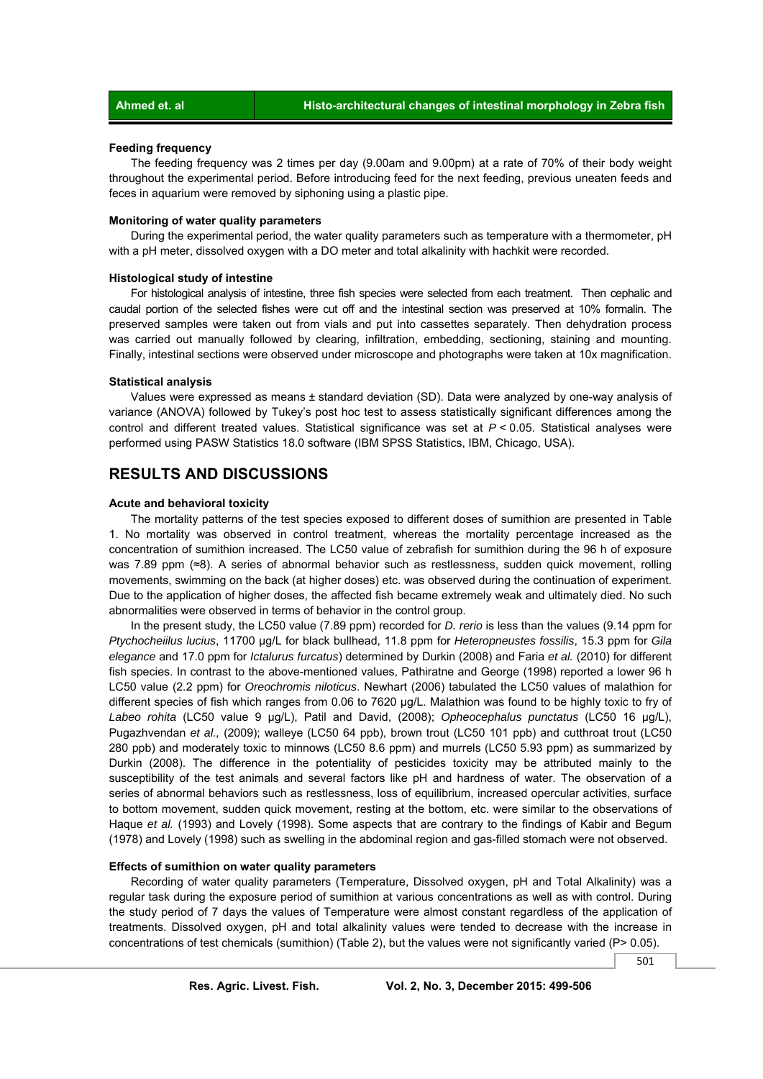#### **Feeding frequency**

 The feeding frequency was 2 times per day (9.00am and 9.00pm) at a rate of 70% of their body weight throughout the experimental period. Before introducing feed for the next feeding, previous uneaten feeds and feces in aquarium were removed by siphoning using a plastic pipe.

#### **Monitoring of water quality parameters**

 During the experimental period, the water quality parameters such as temperature with a thermometer, pH with a pH meter, dissolved oxygen with a DO meter and total alkalinity with hachkit were recorded.

#### **Histological study of intestine**

 For histological analysis of intestine, three fish species were selected from each treatment. Then cephalic and caudal portion of the selected fishes were cut off and the intestinal section was preserved at 10% formalin. The preserved samples were taken out from vials and put into cassettes separately. Then dehydration process was carried out manually followed by clearing, infiltration, embedding, sectioning, staining and mounting. Finally, intestinal sections were observed under microscope and photographs were taken at 10x magnification.

#### **Statistical analysis**

 Values were expressed as means ± standard deviation (SD). Data were analyzed by one-way analysis of variance (ANOVA) followed by Tukey's post hoc test to assess statistically significant differences among the control and different treated values. Statistical significance was set at *P* < 0.05. Statistical analyses were performed using PASW Statistics 18.0 software (IBM SPSS Statistics, IBM, Chicago, USA).

### **RESULTS AND DISCUSSIONS**

#### **Acute and behavioral toxicity**

 The mortality patterns of the test species exposed to different doses of sumithion are presented in Table 1. No mortality was observed in control treatment, whereas the mortality percentage increased as the concentration of sumithion increased. The LC50 value of zebrafish for sumithion during the 96 h of exposure was 7.89 ppm (≈8). A series of abnormal behavior such as restlessness, sudden quick movement, rolling movements, swimming on the back (at higher doses) etc. was observed during the continuation of experiment. Due to the application of higher doses, the affected fish became extremely weak and ultimately died. No such abnormalities were observed in terms of behavior in the control group.

 In the present study, the LC50 value (7.89 ppm) recorded for *D. rerio* is less than the values (9.14 ppm for *Ptychocheiilus lucius*, 11700 μg/L for black bullhead, 11.8 ppm for *Heteropneustes fossilis*, 15.3 ppm for *Gila elegance* and 17.0 ppm for *Ictalurus furcatus*) determined by Durkin (2008) and Faria *et al.* (2010) for different fish species. In contrast to the above-mentioned values, Pathiratne and George (1998) reported a lower 96 h LC50 value (2.2 ppm) for *Oreochromis niloticus*. Newhart (2006) tabulated the LC50 values of malathion for different species of fish which ranges from 0.06 to 7620 μg/L. Malathion was found to be highly toxic to fry of *Labeo rohita* (LC50 value 9 μg/L), Patil and David, (2008); *Opheocephalus punctatus* (LC50 16 μg/L), Pugazhvendan *et al.,* (2009); walleye (LC50 64 ppb), brown trout (LC50 101 ppb) and cutthroat trout (LC50 280 ppb) and moderately toxic to minnows (LC50 8.6 ppm) and murrels (LC50 5.93 ppm) as summarized by Durkin (2008). The difference in the potentiality of pesticides toxicity may be attributed mainly to the susceptibility of the test animals and several factors like pH and hardness of water. The observation of a series of abnormal behaviors such as restlessness, loss of equilibrium, increased opercular activities, surface to bottom movement, sudden quick movement, resting at the bottom, etc. were similar to the observations of Haque *et al.* (1993) and Lovely (1998). Some aspects that are contrary to the findings of Kabir and Begum (1978) and Lovely (1998) such as swelling in the abdominal region and gas-filled stomach were not observed.

#### **Effects of sumithion on water quality parameters**

 Recording of water quality parameters (Temperature, Dissolved oxygen, pH and Total Alkalinity) was a regular task during the exposure period of sumithion at various concentrations as well as with control. During the study period of 7 days the values of Temperature were almost constant regardless of the application of treatments. Dissolved oxygen, pH and total alkalinity values were tended to decrease with the increase in concentrations of test chemicals (sumithion) (Table 2), but the values were not significantly varied (P> 0.05).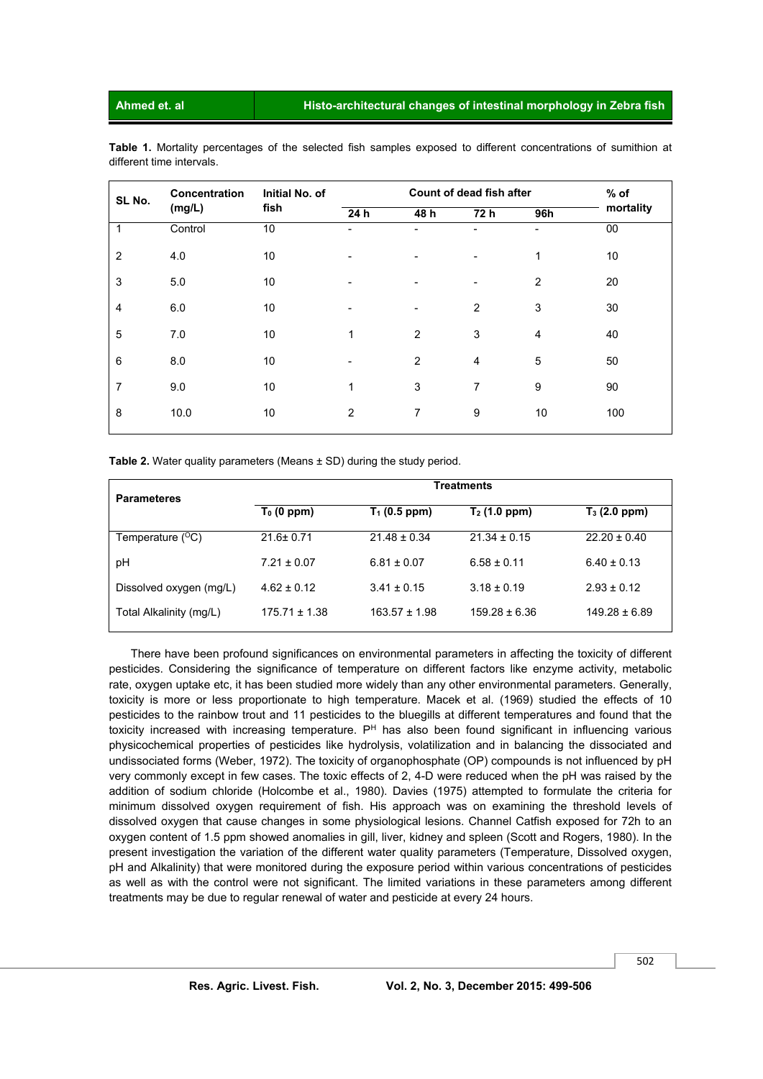**Ahmed et. al Histo-architectural changes of intestinal morphology in Zebra fish** 

**Table 1.** Mortality percentages of the selected fish samples exposed to different concentrations of sumithion at different time intervals.

| SL No.         | <b>Concentration</b><br>(mg/L) | Initial No. of<br>fish | Count of dead fish after |      |                              |                | $%$ of    |
|----------------|--------------------------------|------------------------|--------------------------|------|------------------------------|----------------|-----------|
|                |                                |                        | 24 h                     | 48 h | 72 h                         | 96h            | mortality |
| $\mathbf{1}$   | Control                        | 10                     | ۰                        | ۳    |                              | ۰              | 00        |
| $\overline{2}$ | 4.0                            | 10                     |                          | ۰    | -                            | 1              | 10        |
| 3              | 5.0                            | 10                     |                          | ۰    | $\qquad \qquad \blacksquare$ | $\overline{2}$ | 20        |
| 4              | 6.0                            | 10                     |                          |      | 2                            | 3              | 30        |
| 5              | 7.0                            | 10                     | 1                        | 2    | 3                            | $\overline{4}$ | 40        |
| 6              | 8.0                            | 10                     |                          | 2    | $\overline{4}$               | 5              | 50        |
| $\overline{7}$ | 9.0                            | 10                     | 1                        | 3    | $\overline{7}$               | 9              | 90        |
| 8              | 10.0                           | 10                     | 2                        | 7    | 9                            | 10             | 100       |
|                |                                |                        |                          |      |                              |                |           |

**Table 2.** Water quality parameters (Means  $\pm$  SD) during the study period.

| <b>Parameteres</b>        | <b>Treatments</b> |                            |                   |                            |  |  |  |
|---------------------------|-------------------|----------------------------|-------------------|----------------------------|--|--|--|
|                           | $T_0$ (0 ppm)     | $\overline{T}_1$ (0.5 ppm) | $T_2$ (1.0 ppm)   | $\overline{T}_3$ (2.0 ppm) |  |  |  |
| Temperature $(^{\circ}C)$ | $21.6 \pm 0.71$   | $21.48 \pm 0.34$           | $21.34 \pm 0.15$  | $22.20 \pm 0.40$           |  |  |  |
| рH                        | $7.21 \pm 0.07$   | $6.81 \pm 0.07$            | $6.58 \pm 0.11$   | $6.40 \pm 0.13$            |  |  |  |
| Dissolved oxygen (mg/L)   | $4.62 \pm 0.12$   | $3.41 \pm 0.15$            | $3.18 \pm 0.19$   | $2.93 \pm 0.12$            |  |  |  |
| Total Alkalinity (mg/L)   | $175.71 \pm 1.38$ | $163.57 \pm 1.98$          | $159.28 \pm 6.36$ | $149.28 \pm 6.89$          |  |  |  |

 There have been profound significances on environmental parameters in affecting the toxicity of different pesticides. Considering the significance of temperature on different factors like enzyme activity, metabolic rate, oxygen uptake etc, it has been studied more widely than any other environmental parameters. Generally, toxicity is more or less proportionate to high temperature. Macek et al. (1969) studied the effects of 10 pesticides to the rainbow trout and 11 pesticides to the bluegills at different temperatures and found that the toxicity increased with increasing temperature. P<sup>H</sup> has also been found significant in influencing various physicochemical properties of pesticides like hydrolysis, volatilization and in balancing the dissociated and undissociated forms (Weber, 1972). The toxicity of organophosphate (OP) compounds is not influenced by pH very commonly except in few cases. The toxic effects of 2, 4-D were reduced when the pH was raised by the addition of sodium chloride (Holcombe et al., 1980). Davies (1975) attempted to formulate the criteria for minimum dissolved oxygen requirement of fish. His approach was on examining the threshold levels of dissolved oxygen that cause changes in some physiological lesions. Channel Catfish exposed for 72h to an oxygen content of 1.5 ppm showed anomalies in gill, liver, kidney and spleen (Scott and Rogers, 1980). In the present investigation the variation of the different water quality parameters (Temperature, Dissolved oxygen, pH and Alkalinity) that were monitored during the exposure period within various concentrations of pesticides as well as with the control were not significant. The limited variations in these parameters among different treatments may be due to regular renewal of water and pesticide at every 24 hours.

502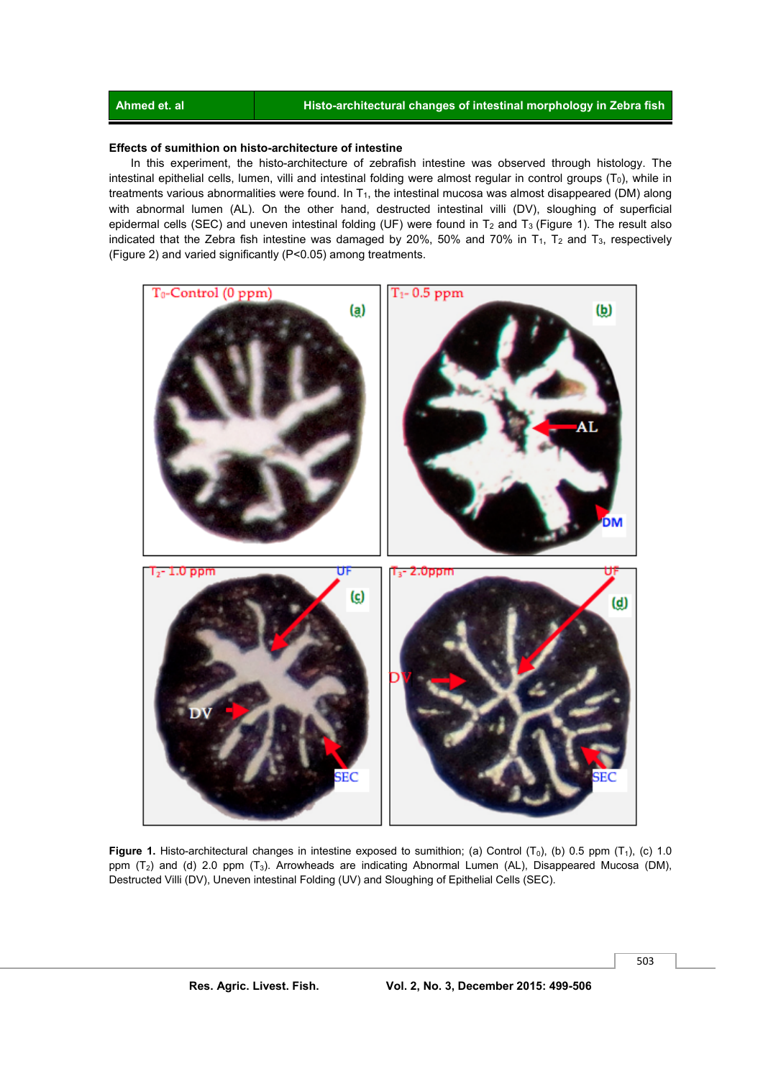#### **Ahmed et. al Histo-architectural changes of intestinal morphology in Zebra fish**

#### **Effects of sumithion on histo-architecture of intestine**

 In this experiment, the histo-architecture of zebrafish intestine was observed through histology. The intestinal epithelial cells, lumen, villi and intestinal folding were almost regular in control groups  $(T<sub>0</sub>)$ , while in treatments various abnormalities were found. In  $T_1$ , the intestinal mucosa was almost disappeared (DM) along with abnormal lumen (AL). On the other hand, destructed intestinal villi (DV), sloughing of superficial epidermal cells (SEC) and uneven intestinal folding (UF) were found in T<sub>2</sub> and T<sub>3</sub> (Figure 1). The result also indicated that the Zebra fish intestine was damaged by 20%, 50% and 70% in  $T_1$ ,  $T_2$  and  $T_3$ , respectively (Figure 2) and varied significantly (P<0.05) among treatments.



**Figure 1.** Histo-architectural changes in intestine exposed to sumithion; (a) Control  $(T_0)$ , (b) 0.5 ppm  $(T_1)$ , (c) 1.0 ppm  $(T_2)$  and (d) 2.0 ppm  $(T_3)$ . Arrowheads are indicating Abnormal Lumen (AL), Disappeared Mucosa (DM), Destructed Villi (DV), Uneven intestinal Folding (UV) and Sloughing of Epithelial Cells (SEC).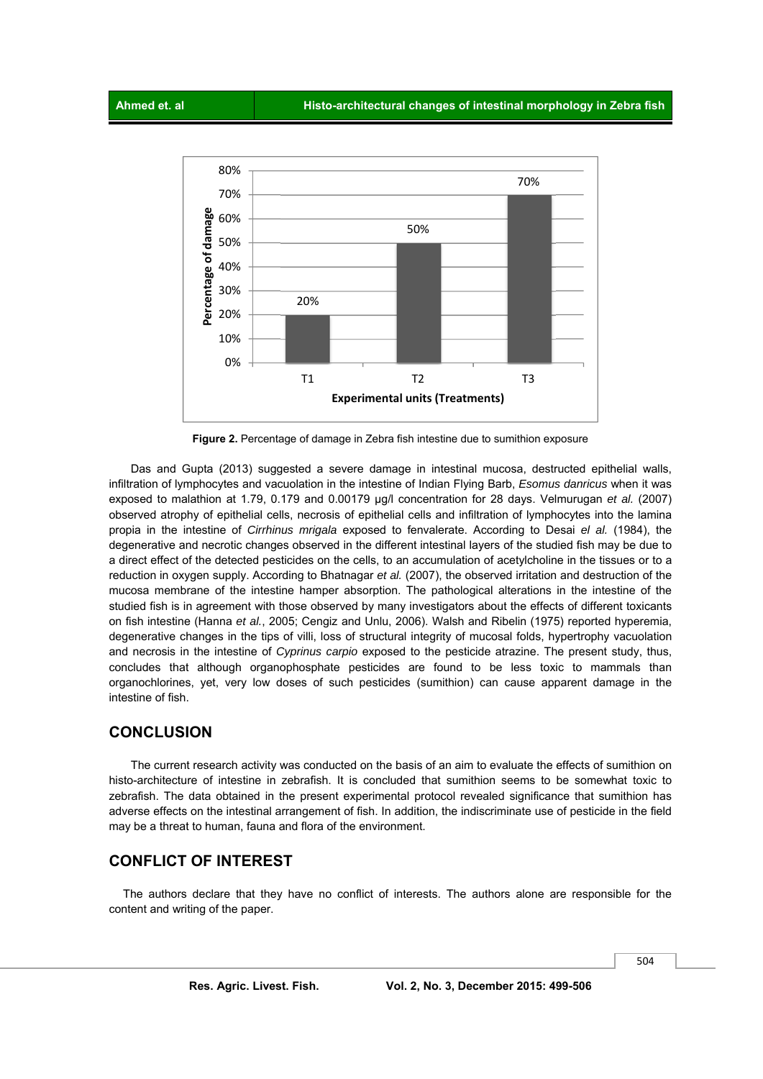

 **Figure 2.** Percentage of damage in Zebra fish intestine due to sumithion exposure

 Das and Gupta (2013) suggested a severe damage in intestinal mucosa, destructed epithelial walls, infiltration of lymphocytes and vacuolation in the intestine of Indian Flying Barb, *Esomus danricus* when it was exposed to malathion at 1.79, 0.179 and 0.00179 µg/l concentration for 28 days. Velmurugan *et al.* (2007) observed atrophy of epithelial cells, necrosis of epithelial cells and infiltration of lymphocytes into the lamina propia in the intestine of *Cirrhinus mrigala* exposed to fenvalerate. According to Desai *el al.* (1984), the degenerative and necrotic changes observed in the different intestinal layers of the studied fish may be due to a direct effect of the detected pesticides on the cells, to an accumulation of acetylcholine in the tissues or to a reduction in oxygen supply. According to Bhatnagar *et al.* (2007), the observed irritation and destruction of the mucosa membrane of the intestine hamper absorption. The pathological alterations in the intestine of the studied fish is in agreement with those observed by many investigators about the effects of different toxicants on fish intestine (Hanna *et al.*, 2005; Cengiz and Unlu, 2006). Walsh and Ribelin (1975) reported hyperemia, degenerative changes in the tips of villi, loss of structural integrity of mucosal folds, hypertrophy vacuolation and necrosis in the intestine of *Cyprinus carpio* exposed to the pesticide atrazine. The present study, thus, concludes that although organophosphate pesticides are found to be less toxic to mammals than organochlorines, yet, very low doses of such pesticides (sumithion) can cause apparent damage in the intestine of fish.

#### **CONCLUSION**

 The current research activity was conducted on the basis of an aim to evaluate the effects of sumithion on histo-architecture of intestine in zebrafish. It is concluded that sumithion seems to be somewhat toxic to zebrafish. The data obtained in the present experimental protocol revealed significance that sumithion has adverse effects on the intestinal arrangement of fish. In addition, the indiscriminate use of pesticide in the field may be a threat to human, fauna and flora of the environment.

### **CONFLICT OF INTEREST**

 The authors declare that they have no conflict of interests. The authors alone are responsible for the content and writing of the paper.

504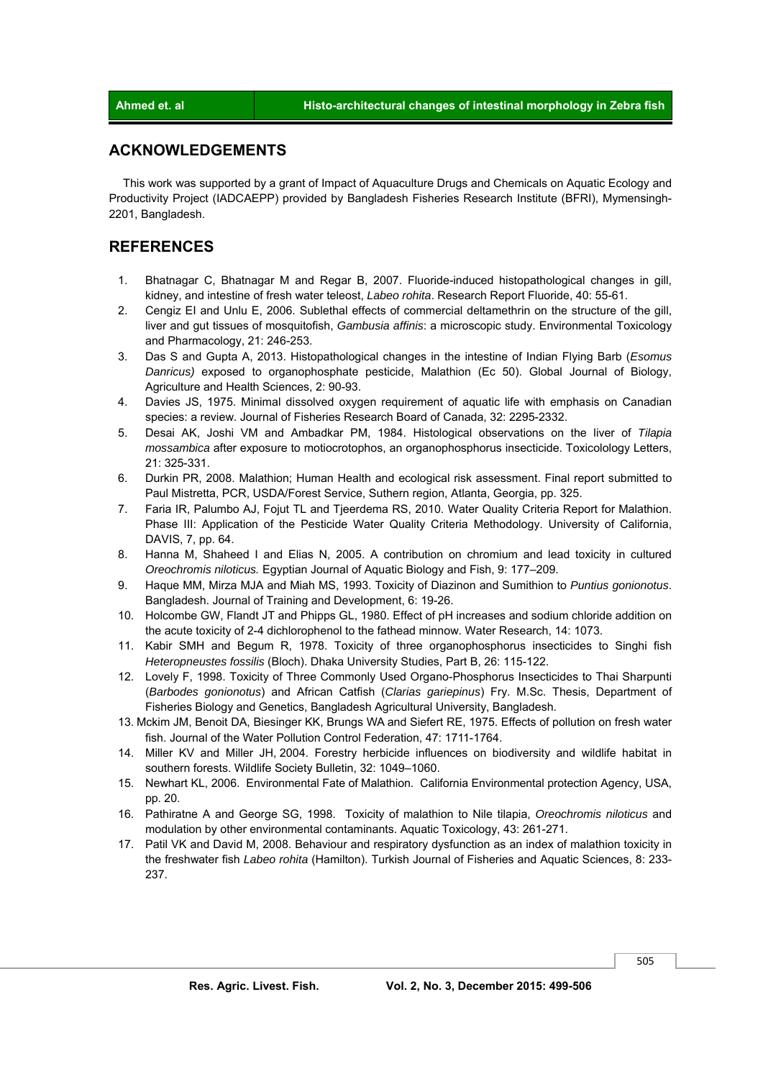### **ACKNOWLEDGEMENTS**

 This work was supported by a grant of Impact of Aquaculture Drugs and Chemicals on Aquatic Ecology and Productivity Project (IADCAEPP) provided by Bangladesh Fisheries Research Institute (BFRI), Mymensingh-2201, Bangladesh.

#### **REFERENCES**

- 1. Bhatnagar C, Bhatnagar M and Regar B, 2007. Fluoride-induced histopathological changes in gill, kidney, and intestine of fresh water teleost, *Labeo rohita*. Research Report Fluoride, 40: 55-61.
- 2. Cengiz EI and Unlu E, 2006. Sublethal effects of commercial deltamethrin on the structure of the gill, liver and gut tissues of mosquitofish, *Gambusia affinis*: a microscopic study. Environmental Toxicology and Pharmacology, 21: 246-253.
- 3. Das S and Gupta A, 2013. Histopathological changes in the intestine of Indian Flying Barb (*Esomus Danricus)* exposed to organophosphate pesticide, Malathion (Ec 50). Global Journal of Biology, Agriculture and Health Sciences, 2: 90-93.
- 4. Davies JS, 1975. Minimal dissolved oxygen requirement of aquatic life with emphasis on Canadian species: a review. Journal of Fisheries Research Board of Canada, 32: 2295-2332.
- 5. Desai AK, Joshi VM and Ambadkar PM, 1984. Histological observations on the liver of *Tilapia mossambica* after exposure to motiocrotophos, an organophosphorus insecticide. Toxicolology Letters, 21: 325-331.
- 6. Durkin PR, 2008. Malathion; Human Health and ecological risk assessment. Final report submitted to Paul Mistretta, PCR, USDA/Forest Service, Suthern region, Atlanta, Georgia, pp. 325.
- 7. Faria IR, Palumbo AJ, Fojut TL and Tjeerdema RS, 2010. Water Quality Criteria Report for Malathion. Phase III: Application of the Pesticide Water Quality Criteria Methodology. University of California, DAVIS, 7, pp. 64.
- 8. Hanna M, Shaheed I and Elias N, 2005. A contribution on chromium and lead toxicity in cultured *Oreochromis niloticus.* Egyptian Journal of Aquatic Biology and Fish, 9: 177–209.
- 9. Haque MM, Mirza MJA and Miah MS, 1993. Toxicity of Diazinon and Sumithion to *Puntius gonionotus*. Bangladesh. Journal of Training and Development, 6: 19-26.
- 10. Holcombe GW, Flandt JT and Phipps GL, 1980. Effect of pH increases and sodium chloride addition on the acute toxicity of 2-4 dichlorophenol to the fathead minnow. Water Research, 14: 1073.
- 11. Kabir SMH and Begum R, 1978. Toxicity of three organophosphorus insecticides to Singhi fish *Heteropneustes fossilis* (Bloch). Dhaka University Studies, Part B, 26: 115-122.
- 12. Lovely F, 1998. Toxicity of Three Commonly Used Organo-Phosphorus Insecticides to Thai Sharpunti (*Barbodes gonionotus*) and African Catfish (*Clarias gariepinus*) Fry. M.Sc. Thesis, Department of Fisheries Biology and Genetics, Bangladesh Agricultural University, Bangladesh.
- 13. Mckim JM, Benoit DA, Biesinger KK, Brungs WA and Siefert RE, 1975. Effects of pollution on fresh water fish. Journal of the Water Pollution Control Federation, 47: 1711-1764.
- 14. Miller KV and Miller JH, 2004. Forestry herbicide influences on biodiversity and wildlife habitat in southern forests. Wildlife Society Bulletin, 32: 1049–1060.
- 15. Newhart KL, 2006. Environmental Fate of Malathion. California Environmental protection Agency, USA, pp. 20.
- 16. Pathiratne A and George SG, 1998. Toxicity of malathion to Nile tilapia, *Oreochromis niloticus* and modulation by other environmental contaminants. Aquatic Toxicology, 43: 261-271.
- 17. Patil VK and David M, 2008. Behaviour and respiratory dysfunction as an index of malathion toxicity in the freshwater fish *Labeo rohita* (Hamilton). Turkish Journal of Fisheries and Aquatic Sciences, 8: 233- 237.